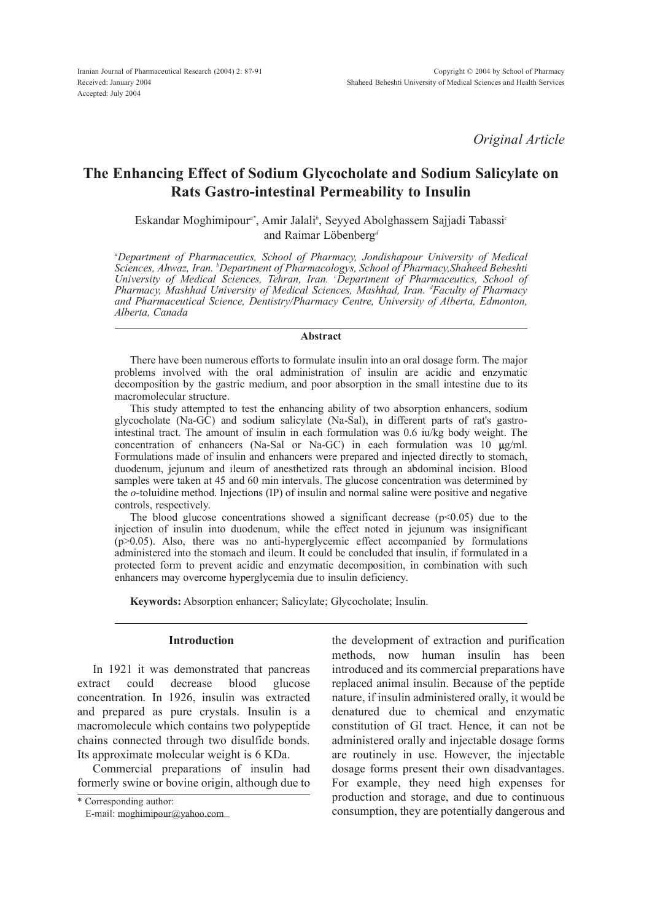*Original Article*

# The Enhancing Effect of Sodium Glycocholate and Sodium Salicylate on Rats Gastro-intestinal Permeability to Insulin

Eskandar Moghimipour*a\** , Amir Jalali*<sup>b</sup>* , Seyyed Abolghassem Sajjadi Tabassi*<sup>c</sup>* and Raimar Löbenberg*<sup>d</sup>*

*<sup>a</sup>Department of Pharmaceutics, School of Pharmacy, Jondishapour University of Medical Sciences, Ahwaz, Iran. <sup>b</sup>Department of Pharmacologys, School of Pharmacy,Shaheed Beheshti University of Medical Sciences, Tehran, Iran. <sup>c</sup>Department of Pharmaceutics, School of Pharmacy, Mashhad University of Medical Sciences, Mashhad, Iran. <sup>d</sup>Faculty of Pharmacy and Pharmaceutical Science, Dentistry/Pharmacy Centre, University of Alberta, Edmonton, Alberta, Canada*

#### Abstract

There have been numerous efforts to formulate insulin into an oral dosage form. The major problems involved with the oral administration of insulin are acidic and enzymatic decomposition by the gastric medium, and poor absorption in the small intestine due to its macromolecular structure.

This study attempted to test the enhancing ability of two absorption enhancers, sodium glycocholate (Na-GC) and sodium salicylate (Na-Sal), in different parts of rat's gastrointestinal tract. The amount of insulin in each formulation was 0.6 iu/kg body weight. The concentration of enhancers (Na-Sal or Na-GC) in each formulation was 10  $\mu$ g/ml. Formulations made of insulin and enhancers were prepared and injected directly to stomach, duodenum, jejunum and ileum of anesthetized rats through an abdominal incision. Blood samples were taken at 45 and 60 min intervals. The glucose concentration was determined by the *o*-toluidine method. Injections (IP) of insulin and normal saline were positive and negative controls, respectively.

The blood glucose concentrations showed a significant decrease  $(p<0.05)$  due to the injection of insulin into duodenum, while the effect noted in jejunum was insignificant (p>0.05). Also, there was no anti-hyperglycemic effect accompanied by formulations administered into the stomach and ileum. It could be concluded that insulin, if formulated in a protected form to prevent acidic and enzymatic decomposition, in combination with such enhancers may overcome hyperglycemia due to insulin deficiency.

Keywords: Absorption enhancer; Salicylate; Glycocholate; Insulin.

## Introduction

In 1921 it was demonstrated that pancreas extract could decrease blood glucose concentration. In 1926, insulin was extracted and prepared as pure crystals. Insulin is a macromolecule which contains two polypeptide chains connected through two disulfide bonds. Its approximate molecular weight is 6 KDa.

Commercial preparations of insulin had formerly swine or bovine origin, although due to

the development of extraction and purification methods, now human insulin has been introduced and its commercial preparations have replaced animal insulin. Because of the peptide nature, if insulin administered orally, it would be denatured due to chemical and enzymatic constitution of GI tract. Hence, it can not be administered orally and injectable dosage forms are routinely in use. However, the injectable dosage forms present their own disadvantages. For example, they need high expenses for production and storage, and due to continuous consumption, they are potentially dangerous and

<sup>\*</sup> Corresponding author:

E-mail: [moghimipour@yahoo.com](mailto:moghimipour@yahoo.com)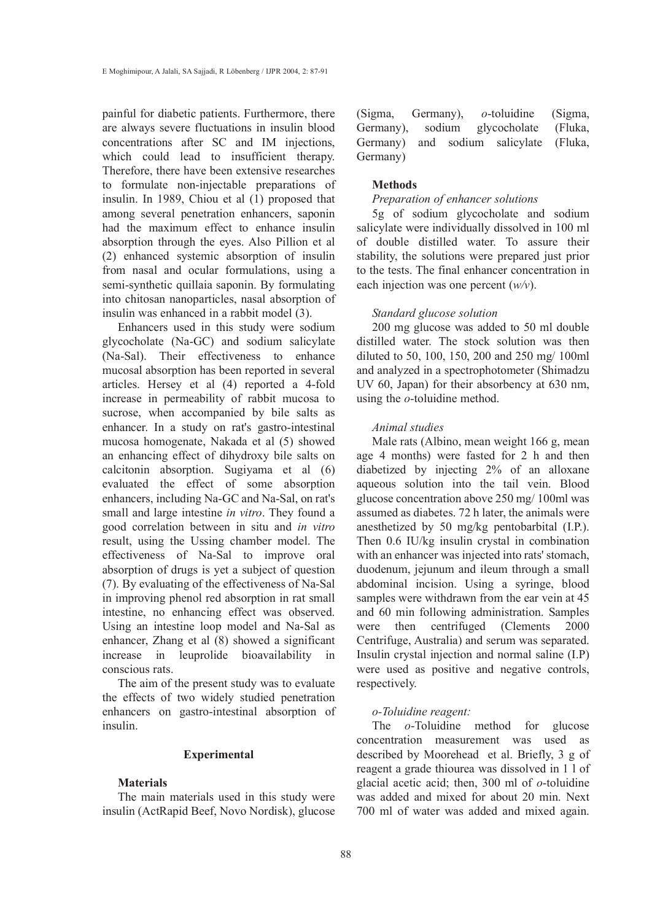painful for diabetic patients. Furthermore, there are always severe fluctuations in insulin blood concentrations after SC and IM injections, which could lead to insufficient therapy. Therefore, there have been extensive researches to formulate non-injectable preparations of insulin. In 1989, Chiou et al (1) proposed that among several penetration enhancers, saponin had the maximum effect to enhance insulin absorption through the eyes. Also Pillion et al (2) enhanced systemic absorption of insulin from nasal and ocular formulations, using a semi-synthetic quillaia saponin. By formulating into chitosan nanoparticles, nasal absorption of insulin was enhanced in a rabbit model (3).

Enhancers used in this study were sodium glycocholate (Na-GC) and sodium salicylate (Na-Sal). Their effectiveness to enhance mucosal absorption has been reported in several articles. Hersey et al (4) reported a 4-fold increase in permeability of rabbit mucosa to sucrose, when accompanied by bile salts as enhancer. In a study on rat's gastro-intestinal mucosa homogenate, Nakada et al (5) showed an enhancing effect of dihydroxy bile salts on calcitonin absorption. Sugiyama et al (6) evaluated the effect of some absorption enhancers, including Na-GC and Na-Sal, on rat's small and large intestine *in vitro*. They found a good correlation between in situ and *in vitro* result, using the Ussing chamber model. The effectiveness of Na-Sal to improve oral absorption of drugs is yet a subject of question (7). By evaluating of the effectiveness of Na-Sal in improving phenol red absorption in rat small intestine, no enhancing effect was observed. Using an intestine loop model and Na-Sal as enhancer, Zhang et al (8) showed a significant increase in leuprolide bioavailability in conscious rats.

The aim of the present study was to evaluate the effects of two widely studied penetration enhancers on gastro-intestinal absorption of insulin.

## Experimental

## Materials

The main materials used in this study were insulin (ActRapid Beef, Novo Nordisk), glucose (Sigma, Germany), *o*-toluidine (Sigma, Germany), sodium glycocholate (Fluka, Germany) and sodium salicylate (Fluka, Germany)

## Methods

# *Preparation of enhancer solutions*

5g of sodium glycocholate and sodium salicylate were individually dissolved in 100 ml of double distilled water. To assure their stability, the solutions were prepared just prior to the tests. The final enhancer concentration in each injection was one percent (*w/v*).

# *Standard glucose solution*

200 mg glucose was added to 50 ml double distilled water. The stock solution was then diluted to 50, 100, 150, 200 and 250 mg/ 100ml and analyzed in a spectrophotometer (Shimadzu UV 60, Japan) for their absorbency at 630 nm, using the *o*-toluidine method.

## *Animal studies*

Male rats (Albino, mean weight 166 g, mean age 4 months) were fasted for 2 h and then diabetized by injecting 2% of an alloxane aqueous solution into the tail vein. Blood glucose concentration above 250 mg/ 100ml was assumed as diabetes. 72 h later, the animals were anesthetized by 50 mg/kg pentobarbital (I.P.). Then 0.6 IU/kg insulin crystal in combination with an enhancer was injected into rats' stomach, duodenum, jejunum and ileum through a small abdominal incision. Using a syringe, blood samples were withdrawn from the ear vein at 45 and 60 min following administration. Samples were then centrifuged (Clements 2000 Centrifuge, Australia) and serum was separated. Insulin crystal injection and normal saline (I.P) were used as positive and negative controls, respectively.

## *o-Toluidine reagent:*

The *o*-Toluidine method for glucose concentration measurement was used as described by Moorehead et al. Briefly, 3 g of reagent a grade thiourea was dissolved in 1 l of glacial acetic acid; then, 300 ml of *o*-toluidine was added and mixed for about 20 min. Next 700 ml of water was added and mixed again.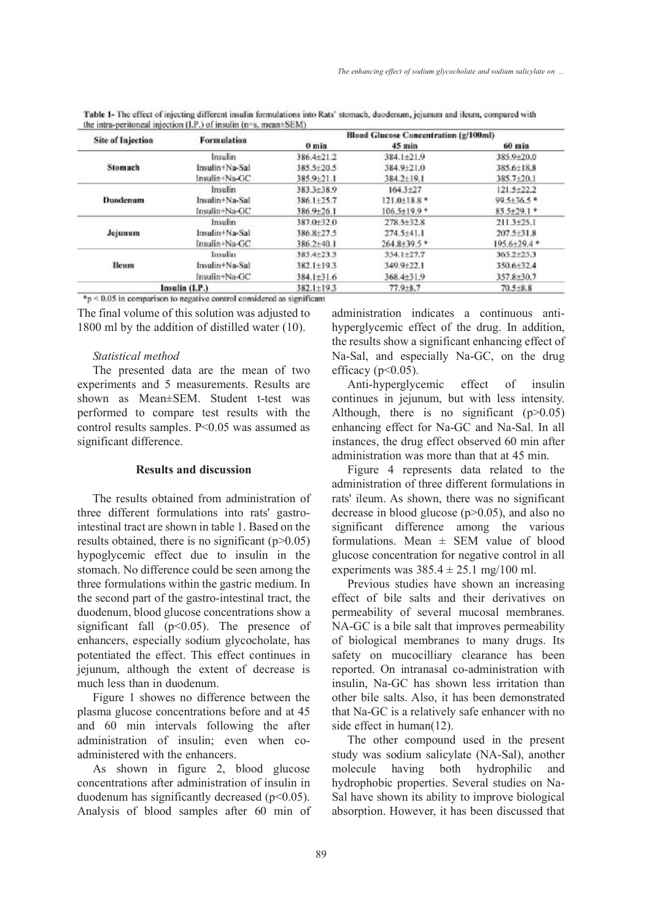| <b>Site of Injection</b> | <b>Formulation</b> | <b>Blood Glucose Concentration (g/100ml)</b> |                    |                  |
|--------------------------|--------------------|----------------------------------------------|--------------------|------------------|
|                          |                    | 0 <sub>min</sub>                             | $45$ min           | 60 min           |
| Stomach                  | Insulin            | 386.4±21.2                                   | $384.1 \pm 21.9$   | 385.9+20.0       |
|                          | Insulin+Na-Sal     | 385.5±20.5                                   | 384.9±21.0         | 385.6±18.8       |
|                          | Insulin+Na-GC      | 385.9+21.1                                   | $384.2 \pm 19.1$   | $385.7 + 20.1$   |
| Duodenum                 | Insulin            | 383.3±38.9                                   | $164.3 + 27$       | $121.5+22.2$     |
|                          | Insulin+Na-Sal     | $386.1 + 25.7$                               | $121.0\pm18.8$ *   | $99.5 + 36.5$ *  |
|                          | Insulin+Na-GC      | $386.9 + 26.1$                               | $106.5 \pm 19.9$ * | $85.5 + 29.1*$   |
| Jejunum                  | Insulin            | 387.0+32.0                                   | $278.5 + 32.8$     | $211.3 + 25.1$   |
|                          | Insulin+Na-Sal     | 386.8+27.5                                   | $274.5 + 41.1$     | $207.5 + 31.8$   |
|                          | Insulin+Na-GC      | $386.2 + 40.1$                               | $264.8 + 39.5$ *   | $195.6 + 29.4$ * |
| <b>Heum</b><br>승규 아까 있어? | Insulin            | 385.4±23.3                                   | 354.1±27.7         | $365.2 + 25.3$   |
|                          | Insulin+Na-Sal     | $382.1 \pm 19.3$                             | $349.9 + 22.1$     | $350.6 + 32.4$   |
|                          | Insulin+Na-GC      | $384.1 \pm 31.6$                             | 368.4±31.9         | 357.8±30.7       |
| Insulin (I.P.)           |                    | $382.1 \pm 19.3$                             | $77.9 + 8.7$       | $70.5 + 8.8$     |

Table 1- The effect of injecting different insulin formulations into Rats' stomach, duodenum, jeiunum and ileum, compared with the intra-peritoneal injection (LP.) of insulin (n=s. mean+SEM)

 $n_p$  < 0.05 in comparison to negative control considered as significant

The final volume of this solution was adjusted to 1800 ml by the addition of distilled water (10).

## *Statistical method*

The presented data are the mean of two experiments and 5 measurements. Results are shown as Mean±SEM. Student t-test was performed to compare test results with the control results samples. P<0.05 was assumed as significant difference.

# Results and discussion

The results obtained from administration of three different formulations into rats' gastrointestinal tract are shown in table 1. Based on the results obtained, there is no significant  $(p>0.05)$ hypoglycemic effect due to insulin in the stomach. No difference could be seen among the three formulations within the gastric medium. In the second part of the gastro-intestinal tract, the duodenum, blood glucose concentrations show a significant fall  $(p<0.05)$ . The presence of enhancers, especially sodium glycocholate, has potentiated the effect. This effect continues in jejunum, although the extent of decrease is much less than in duodenum.

Figure 1 showes no difference between the plasma glucose concentrations before and at 45 and 60 min intervals following the after administration of insulin; even when coadministered with the enhancers.

As shown in figure 2, blood glucose concentrations after administration of insulin in duodenum has significantly decreased  $(p<0.05)$ . Analysis of blood samples after 60 min of administration indicates a continuous antihyperglycemic effect of the drug. In addition, the results show a significant enhancing effect of Na-Sal, and especially Na-GC, on the drug efficacy ( $p<0.05$ ).

Anti-hyperglycemic effect of insulin continues in jejunum, but with less intensity. Although, there is no significant  $(p>0.05)$ enhancing effect for Na-GC and Na-Sal. In all instances, the drug effect observed 60 min after administration was more than that at 45 min.

Figure 4 represents data related to the administration of three different formulations in rats' ileum. As shown, there was no significant decrease in blood glucose (p>0.05), and also no significant difference among the various formulations. Mean  $\pm$  SEM value of blood glucose concentration for negative control in all experiments was  $385.4 \pm 25.1$  mg/100 ml.

Previous studies have shown an increasing effect of bile salts and their derivatives on permeability of several mucosal membranes. NA-GC is a bile salt that improves permeability of biological membranes to many drugs. Its safety on mucocilliary clearance has been reported. On intranasal co-administration with insulin, Na-GC has shown less irritation than other bile salts. Also, it has been demonstrated that Na-GC is a relatively safe enhancer with no side effect in human(12).

The other compound used in the present study was sodium salicylate (NA-Sal), another molecule having both hydrophilic and hydrophobic properties. Several studies on Na-Sal have shown its ability to improve biological absorption. However, it has been discussed that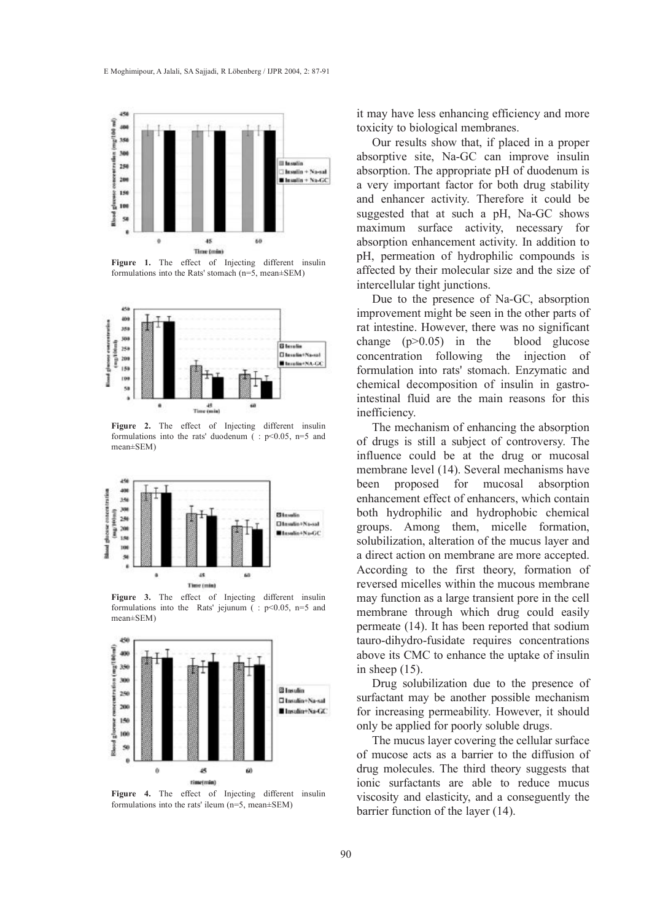

Figure 1. The effect of Injecting different insulin formulations into the Rats' stomach (n=5, mean±SEM)



Figure 2. The effect of Injecting different insulin formulations into the rats' duodenum ( $: p<0.05$ , n=5 and mean±SEM)



Figure 3. The effect of Injecting different insulin formulations into the Rats' jejunum ( $: p<0.05$ , n=5 and mean±SEM)



Figure 4. The effect of Injecting different insulin formulations into the rats' ileum (n=5, mean±SEM)

it may have less enhancing efficiency and more toxicity to biological membranes.

Our results show that, if placed in a proper absorptive site, Na-GC can improve insulin absorption. The appropriate pH of duodenum is a very important factor for both drug stability and enhancer activity. Therefore it could be suggested that at such a pH, Na-GC shows maximum surface activity, necessary for absorption enhancement activity. In addition to pH, permeation of hydrophilic compounds is affected by their molecular size and the size of intercellular tight junctions.

Due to the presence of Na-GC, absorption improvement might be seen in the other parts of rat intestine. However, there was no significant change  $(p>0.05)$  in the blood glucose concentration following the injection of formulation into rats' stomach. Enzymatic and chemical decomposition of insulin in gastrointestinal fluid are the main reasons for this inefficiency.

The mechanism of enhancing the absorption of drugs is still a subject of controversy. The influence could be at the drug or mucosal membrane level (14). Several mechanisms have been proposed for mucosal absorption enhancement effect of enhancers, which contain both hydrophilic and hydrophobic chemical groups. Among them, micelle formation, solubilization, alteration of the mucus layer and a direct action on membrane are more accepted. According to the first theory, formation of reversed micelles within the mucous membrane may function as a large transient pore in the cell membrane through which drug could easily permeate (14). It has been reported that sodium tauro-dihydro-fusidate requires concentrations above its CMC to enhance the uptake of insulin in sheep (15).

Drug solubilization due to the presence of surfactant may be another possible mechanism for increasing permeability. However, it should only be applied for poorly soluble drugs.

The mucus layer covering the cellular surface of mucose acts as a barrier to the diffusion of drug molecules. The third theory suggests that ionic surfactants are able to reduce mucus viscosity and elasticity, and a conseguently the barrier function of the layer (14).